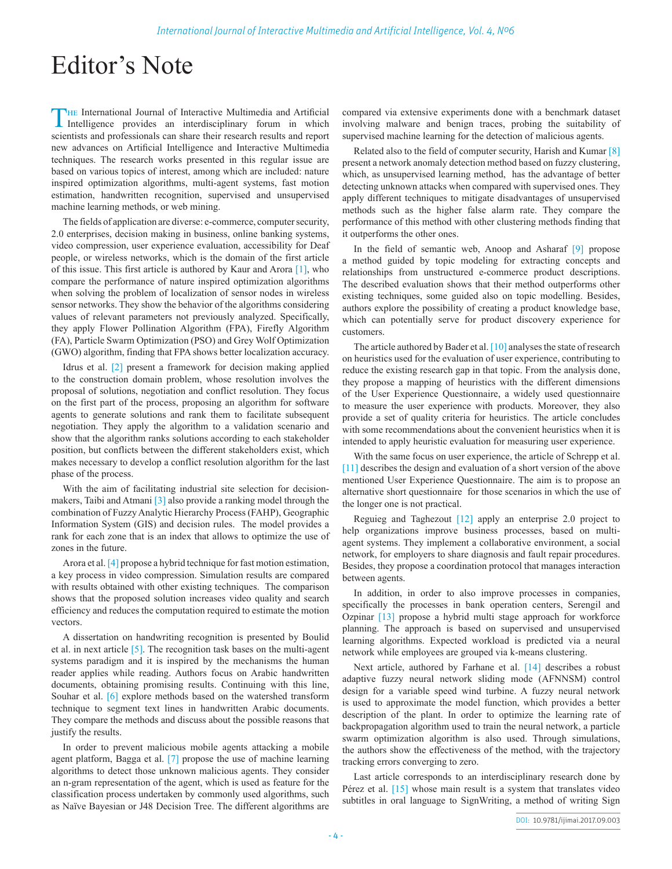## Editor's Note

The International Journal of Interactive Multimedia and Artificial Intelligence provides an interdisciplinary forum in which scientists and professionals can share their research results and report new advances on Artificial Intelligence and Interactive Multimedia techniques. The research works presented in this regular issue are based on various topics of interest, among which are included: nature inspired optimization algorithms, multi-agent systems, fast motion estimation, handwritten recognition, supervised and unsupervised machine learning methods, or web mining.

The fields of application are diverse: e-commerce, computer security, 2.0 enterprises, decision making in business, online banking systems, video compression, user experience evaluation, accessibility for Deaf people, or wireless networks, which is the domain of the first article of this issue. This first article is authored by Kaur and Arora [1], who compare the performance of nature inspired optimization algorithms when solving the problem of localization of sensor nodes in wireless sensor networks. They show the behavior of the algorithms considering values of relevant parameters not previously analyzed. Specifically, they apply Flower Pollination Algorithm (FPA), Firefly Algorithm (FA), Particle Swarm Optimization (PSO) and Grey Wolf Optimization (GWO) algorithm, finding that FPA shows better localization accuracy.

Idrus et al. [2] present a framework for decision making applied to the construction domain problem, whose resolution involves the proposal of solutions, negotiation and conflict resolution. They focus on the first part of the process, proposing an algorithm for software agents to generate solutions and rank them to facilitate subsequent negotiation. They apply the algorithm to a validation scenario and show that the algorithm ranks solutions according to each stakeholder position, but conflicts between the different stakeholders exist, which makes necessary to develop a conflict resolution algorithm for the last phase of the process.

With the aim of facilitating industrial site selection for decisionmakers, Taibi and Atmani  $\left[3\right]$  also provide a ranking model through the combination of Fuzzy Analytic Hierarchy Process (FAHP), Geographic Information System (GIS) and decision rules. The model provides a rank for each zone that is an index that allows to optimize the use of zones in the future.

Arora et al. [4] propose a hybrid technique for fast motion estimation, a key process in video compression. Simulation results are compared with results obtained with other existing techniques. The comparison shows that the proposed solution increases video quality and search efficiency and reduces the computation required to estimate the motion vectors.

A dissertation on handwriting recognition is presented by Boulid et al. in next article [5]. The recognition task bases on the multi-agent systems paradigm and it is inspired by the mechanisms the human reader applies while reading. Authors focus on Arabic handwritten documents, obtaining promising results. Continuing with this line, Souhar et al. [6] explore methods based on the watershed transform technique to segment text lines in handwritten Arabic documents. They compare the methods and discuss about the possible reasons that justify the results.

In order to prevent malicious mobile agents attacking a mobile agent platform, Bagga et al. [7] propose the use of machine learning algorithms to detect those unknown malicious agents. They consider an n-gram representation of the agent, which is used as feature for the classification process undertaken by commonly used algorithms, such as Naïve Bayesian or J48 Decision Tree. The different algorithms are compared via extensive experiments done with a benchmark dataset involving malware and benign traces, probing the suitability of supervised machine learning for the detection of malicious agents.

Related also to the field of computer security, Harish and Kumar [8] present a network anomaly detection method based on fuzzy clustering, which, as unsupervised learning method, has the advantage of better detecting unknown attacks when compared with supervised ones. They apply different techniques to mitigate disadvantages of unsupervised methods such as the higher false alarm rate. They compare the performance of this method with other clustering methods finding that it outperforms the other ones.

In the field of semantic web, Anoop and Asharaf [9] propose a method guided by topic modeling for extracting concepts and relationships from unstructured e-commerce product descriptions. The described evaluation shows that their method outperforms other existing techniques, some guided also on topic modelling. Besides, authors explore the possibility of creating a product knowledge base, which can potentially serve for product discovery experience for customers.

The article authored by Bader et al. [10] analyses the state of research on heuristics used for the evaluation of user experience, contributing to reduce the existing research gap in that topic. From the analysis done, they propose a mapping of heuristics with the different dimensions of the User Experience Questionnaire, a widely used questionnaire to measure the user experience with products. Moreover, they also provide a set of quality criteria for heuristics. The article concludes with some recommendations about the convenient heuristics when it is intended to apply heuristic evaluation for measuring user experience.

With the same focus on user experience, the article of Schrepp et al. [11] describes the design and evaluation of a short version of the above mentioned User Experience Questionnaire. The aim is to propose an alternative short questionnaire for those scenarios in which the use of the longer one is not practical.

Reguieg and Taghezout [12] apply an enterprise 2.0 project to help organizations improve business processes, based on multiagent systems. They implement a collaborative environment, a social network, for employers to share diagnosis and fault repair procedures. Besides, they propose a coordination protocol that manages interaction between agents.

In addition, in order to also improve processes in companies, specifically the processes in bank operation centers, Serengil and Ozpinar [13] propose a hybrid multi stage approach for workforce planning. The approach is based on supervised and unsupervised learning algorithms. Expected workload is predicted via a neural network while employees are grouped via k-means clustering.

Next article, authored by Farhane et al. [14] describes a robust adaptive fuzzy neural network sliding mode (AFNNSM) control design for a variable speed wind turbine. A fuzzy neural network is used to approximate the model function, which provides a better description of the plant. In order to optimize the learning rate of backpropagation algorithm used to train the neural network, a particle swarm optimization algorithm is also used. Through simulations, the authors show the effectiveness of the method, with the trajectory tracking errors converging to zero.

Last article corresponds to an interdisciplinary research done by Pérez et al. [15] whose main result is a system that translates video subtitles in oral language to SignWriting, a method of writing Sign